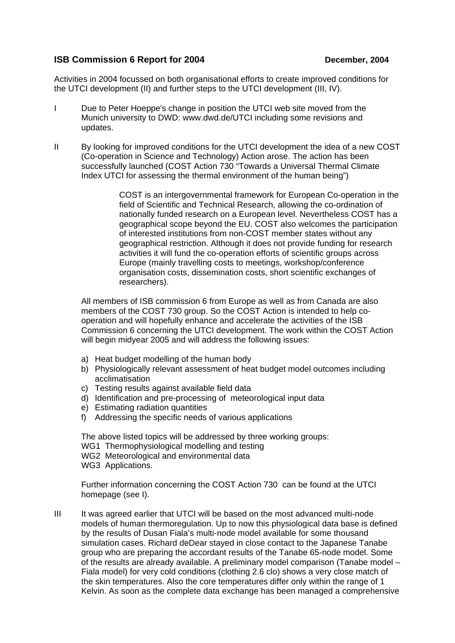## **ISB Commission 6 Report for 2004 December, 2004**

Activities in 2004 focussed on both organisational efforts to create improved conditions for the UTCI development (II) and further steps to the UTCI development (III, IV).

- I Due to Peter Hoeppe's change in position the UTCI web site moved from the Munich university to DWD: www.dwd.de/UTCI including some revisions and updates.
- II By looking for improved conditions for the UTCI development the idea of a new COST (Co-operation in Science and Technology) Action arose. The action has been successfully launched (COST Action 730 "Towards a Universal Thermal Climate Index UTCI for assessing the thermal environment of the human being")

COST is an intergovernmental framework for European Co-operation in the field of Scientific and Technical Research, allowing the co-ordination of nationally funded research on a European level. Nevertheless COST has a geographical scope beyond the EU. COST also welcomes the participation of interested institutions from non-COST member states without any geographical restriction. Although it does not provide funding for research activities it will fund the co-operation efforts of scientific groups across Europe (mainly travelling costs to meetings, workshop/conference organisation costs, dissemination costs, short scientific exchanges of researchers).

All members of ISB commission 6 from Europe as well as from Canada are also members of the COST 730 group. So the COST Action is intended to help cooperation and will hopefully enhance and accelerate the activities of the ISB Commission 6 concerning the UTCI development. The work within the COST Action will begin midyear 2005 and will address the following issues:

- a) Heat budget modelling of the human body
- b) Physiologically relevant assessment of heat budget model outcomes including acclimatisation
- c) Testing results against available field data
- d) Identification and pre-processing of meteorological input data
- e) Estimating radiation quantities
- f) Addressing the specific needs of various applications

The above listed topics will be addressed by three working groups: WG1 Thermophysiological modelling and testing WG2 Meteorological and environmental data WG3 Applications.

Further information concerning the COST Action 730 can be found at the UTCI homepage (see I).

III It was agreed earlier that UTCI will be based on the most advanced multi-node models of human thermoregulation. Up to now this physiological data base is defined by the results of Dusan Fiala's multi-node model available for some thousand simulation cases. Richard deDear stayed in close contact to the Japanese Tanabe group who are preparing the accordant results of the Tanabe 65-node model. Some of the results are already available. A preliminary model comparison (Tanabe model – Fiala model) for very cold conditions (clothing 2.6 clo) shows a very close match of the skin temperatures. Also the core temperatures differ only within the range of 1 Kelvin. As soon as the complete data exchange has been managed a comprehensive